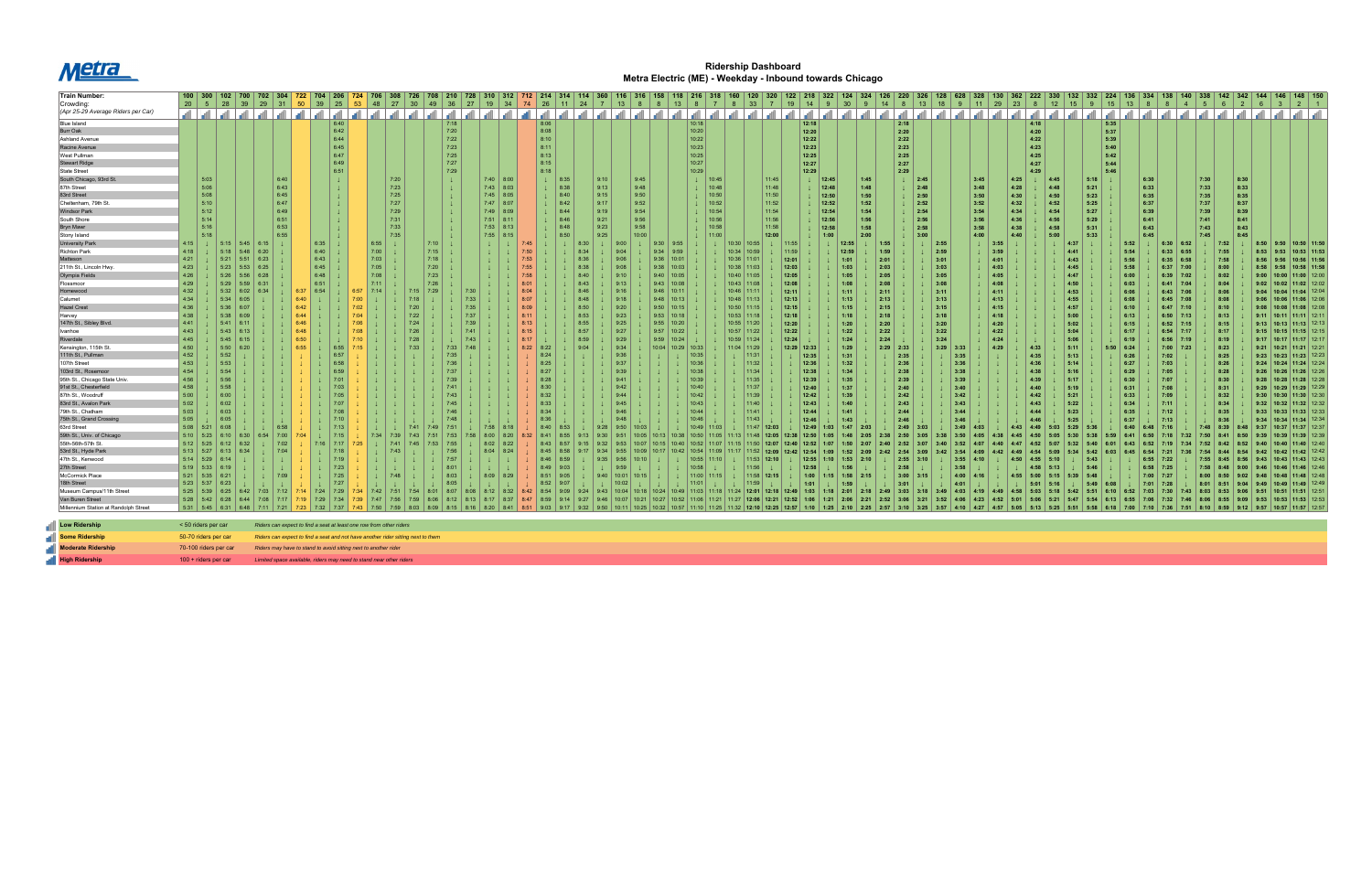

## **Ridership Dashboard Metra Electric (ME) - Weekday - Inbound towards Chicago**

| <b>Train Number:</b>                  |             |                      | 102   700 |                                                                                                                 | 304      | 722 | 704   206   724   706                                               |       |      |          |                                                                                  |              |                                           |              |       |               |      |                |                  |      |                |                      |                 |                 |               |                  |                        |      |                                         |      |                       |              |      |           |                     |      |                  |       |             |                |              |      |                                                       |                 |  |
|---------------------------------------|-------------|----------------------|-----------|-----------------------------------------------------------------------------------------------------------------|----------|-----|---------------------------------------------------------------------|-------|------|----------|----------------------------------------------------------------------------------|--------------|-------------------------------------------|--------------|-------|---------------|------|----------------|------------------|------|----------------|----------------------|-----------------|-----------------|---------------|------------------|------------------------|------|-----------------------------------------|------|-----------------------|--------------|------|-----------|---------------------|------|------------------|-------|-------------|----------------|--------------|------|-------------------------------------------------------|-----------------|--|
| Crowding:                             |             | $20 \mid 5 \mid 28$  |           | $39 \mid 29$                                                                                                    |          |     | 31 50 39 25 53                                                      |       |      | 48 27 30 |                                                                                  | $49 \mid 36$ | 27   19   34   74   26   11   24   7   13 |              |       |               |      |                | 8 <sup>8</sup>   |      | 13             | 8<br>$\overline{7}$  |                 | 8 33 7          | 19            | $\vert$ 14<br>-9 | 30 <sup>°</sup><br>- 9 |      | $14$ 8                                  |      | 13   18   9   11   29 |              | 23   |           | 15<br>12            |      | 15               | $-13$ |             | $\overline{4}$ |              |      |                                                       |                 |  |
| (Apr 25-29 Average Riders per Car)    |             |                      |           | المرامر المرامر المرامر المرامر المرامر المرامر المرامر المرامر المرامر المرامر المرامر المرامر المرامر المرامر |          |     |                                                                     |       |      |          |                                                                                  |              |                                           |              |       |               |      |                |                  |      |                |                      |                 |                 |               |                  |                        |      | الشراشان التواشا والمساور المساور التوا |      |                       |              |      | ا ان ا ان |                     |      |                  |       |             |                |              |      | التحالية التحالية التحالية التحالية التحالية التحالية |                 |  |
|                                       |             |                      |           |                                                                                                                 |          |     |                                                                     |       |      |          |                                                                                  |              |                                           |              |       |               |      |                |                  |      |                |                      |                 |                 |               |                  |                        |      |                                         |      |                       |              |      |           | الشاشا استان السالس |      |                  |       |             |                |              |      |                                                       |                 |  |
| <b>Blue Island</b>                    |             |                      |           |                                                                                                                 |          |     |                                                                     | 6:40  |      |          |                                                                                  | 7:18         |                                           |              | 8:06  |               |      |                |                  |      |                | 10:18                |                 |                 |               | 12:18            |                        |      | 2:18                                    |      |                       |              |      | 4:18      |                     |      | 5:35             |       |             |                |              |      |                                                       |                 |  |
| Burr Oak                              |             |                      |           |                                                                                                                 |          |     |                                                                     | 6:42  |      |          |                                                                                  | 7:20         |                                           |              | 8:08  |               |      |                |                  |      |                | 10:20                |                 |                 |               | 12:20            |                        |      | 2:20                                    |      |                       |              |      | 4:20      |                     |      | 5:37             |       |             |                |              |      |                                                       |                 |  |
| <b>Ashland Avenue</b>                 |             |                      |           |                                                                                                                 |          |     |                                                                     | 6:44  |      |          |                                                                                  | 7:22         |                                           |              | 8:10  |               |      |                |                  |      |                | 10:22                |                 |                 |               | 12:22            |                        |      | 2:22                                    |      |                       |              |      | 4:22      |                     |      | 5:39             |       |             |                |              |      |                                                       |                 |  |
| Racine Avenue                         |             |                      |           |                                                                                                                 |          |     |                                                                     | 6:45  |      |          |                                                                                  | 7:23         |                                           |              | 8:11  |               |      |                |                  |      |                | 10:23                |                 |                 |               | 12:23            |                        |      | 2:23                                    |      |                       |              |      | 4:23      |                     |      | 5:40             |       |             |                |              |      |                                                       |                 |  |
| West Pullman                          |             |                      |           |                                                                                                                 |          |     |                                                                     | 6:47  |      |          |                                                                                  | 7:25         |                                           |              | 8:13  |               |      |                |                  |      |                | 10:25                |                 |                 |               | 12:25            |                        |      | 2:25                                    |      |                       |              |      | 4:25      |                     |      | 5:42             |       |             |                |              |      |                                                       |                 |  |
| <b>Stewart Ridge</b>                  |             |                      |           |                                                                                                                 |          |     |                                                                     | 6:49  |      |          |                                                                                  | 7:27         |                                           |              | 8:15  |               |      |                |                  |      |                | 10:27                |                 |                 |               | 12:27            |                        |      | 2:27                                    |      |                       |              |      | 4:27      |                     |      | 5:44             |       |             |                |              |      |                                                       |                 |  |
| <b>State Street</b>                   |             |                      |           |                                                                                                                 |          |     |                                                                     | 6:51  |      |          |                                                                                  | 7:29         |                                           |              | 8:18  |               |      |                |                  |      |                | 10:29                |                 |                 |               | 12:29            |                        |      | 2:29                                    |      |                       |              |      | 4:29      |                     |      | 5:46             |       |             |                |              |      |                                                       |                 |  |
| South Chicago, 93rd St.               |             | 5:03                 |           |                                                                                                                 | 6:40     |     |                                                                     |       |      | 7:20     |                                                                                  |              | $7:40$ 8:00                               |              | -11   | 8:35          |      | 9:10           | 9:45             |      |                | $\downarrow$   10:45 |                 | 11:45           |               | 12:45            | 1:45                   |      | 2:45                                    |      |                       | 3:45         | 4:25 |           | 4:45                | 5:18 |                  | 6:30  |             | 7:30           |              | 8:30 |                                                       |                 |  |
| 87th Street                           |             | 5:06                 |           |                                                                                                                 | 6:43     |     |                                                                     |       |      | 7:23     |                                                                                  |              | $7:43$ 8:03                               |              |       | 8:38          |      | 9:13           | 9:48             |      |                | $\downarrow$   10:48 |                 | 11:48           |               | 12:48            | 1:48                   |      | 2:48                                    |      |                       | 3:48         | 4:28 |           | 4:48                | 5:21 |                  | 6:33  |             |                | 7:33         | 8:33 |                                                       |                 |  |
| 83rd Street                           |             | 5:08                 |           |                                                                                                                 | 6:45     |     |                                                                     |       |      | 7:25     |                                                                                  |              | $7:45$ 8:05                               |              |       | 8:40          |      | 9:15           | 9:50             |      |                | $\downarrow$ 10:50   |                 | 11:50           |               | 12:50            | 1:50                   |      | 2:50                                    |      |                       | 3:50         | 4:30 |           | 4:50                | 5:23 |                  | 6:35  |             | 7:35           |              | 8:35 |                                                       |                 |  |
| Cheltenham, 79th St.                  |             | 5:10                 |           |                                                                                                                 | 6:47     |     |                                                                     |       |      | 7:27     |                                                                                  |              | $7:47$ 8:07                               |              |       | 8:42          |      | 9:17           | 9:52             |      |                | $\downarrow$ 10:52   |                 | 11:52           |               | 12:52            | 1:52                   |      | 2:52                                    |      |                       | 3:52         | 4:32 |           | 4:52                | 5:25 |                  | 6:37  |             | 7:37           |              | 8:37 |                                                       |                 |  |
| <b>Windsor Park</b>                   |             | 5:12                 |           |                                                                                                                 | 6:49     |     |                                                                     |       |      | 7:29     |                                                                                  |              | $7:49$ 8:09                               |              |       | 8:44          |      | 9:19           | 9:54             |      |                | $\perp$ 10:54        |                 | 11:54           |               | 12:54            | 1:54                   |      | 2:54                                    |      |                       | 3:54         | 4:34 |           | 4:54                | 5:27 |                  | 6:39  |             | 7:39           |              | 8:39 |                                                       |                 |  |
| South Shore                           |             | 5:14                 |           |                                                                                                                 | 6:51     |     |                                                                     |       |      | 7:31     |                                                                                  |              | $7:51$ 8:11                               |              |       | 8:46          |      | 9:21           | 9:56             |      |                | 1   10:56            |                 | 11:56           |               | 12:56            | 1:56                   |      | 2:56                                    |      |                       | 3:56         | 4:36 |           | 4:56                | 5:29 |                  | 6:41  |             | 7:41           |              | 8:41 |                                                       |                 |  |
| <b>Bryn Mawr</b>                      |             | 5:16                 |           |                                                                                                                 | 6:53     |     |                                                                     |       |      | 7:33     |                                                                                  |              | $7:53$ 8:13                               |              |       | 8:48          |      | 9:23           | 9:58             |      |                | 10:58                |                 | 11:58           |               | 12:58            | 1:58                   |      | 2:58                                    |      |                       | 3:58         | 4:38 |           | 4:58                | 5:31 |                  | 6:43  |             |                | 7:43         | 8:43 |                                                       |                 |  |
| Stony Island                          |             | 5:18                 |           |                                                                                                                 | 6:55     |     |                                                                     |       |      | 7:35     |                                                                                  |              | 7:55                                      | 8:15         |       | 8:50          |      | 9:25           | 10:00            |      |                | 11:00                |                 | 12:00           |               | 1:00             | 2:00                   |      |                                         | 3:00 |                       | 4:00         | 4:40 |           | 5:00                | 5:33 |                  | 6:45  |             |                | 7:45         | 8:45 |                                                       |                 |  |
| University Parl                       | 4:15        |                      |           | $\perp$ 5:15 5:45 6:15                                                                                          |          |     | 6:35                                                                |       | 6:55 |          |                                                                                  | 7:10         |                                           |              |       |               |      | 9:00           |                  |      | $9:30$ 9:55    |                      | $10:30$   10:55 |                 | 11:55         |                  | 12:55                  | 1:55 |                                         | 2:55 |                       | 3:55         |      |           |                     |      |                  |       | $6:30$ 6:52 |                | $\vert$ 7:52 |      | $8:50$   $9:50$   10:50   11:50                       |                 |  |
| <b>Richton Park</b>                   | 4:18        |                      | 5:18      | 5:48<br>6:20                                                                                                    |          |     | 6:40                                                                |       | 7:00 |          |                                                                                  | 7:15         |                                           |              |       |               | 8:34 | 9:04           |                  | 9:34 | 9:59           |                      | 10:34   10:59   |                 | 11:59         |                  | 12:59                  | 1:59 |                                         | 2:59 |                       | 3:59         |      |           | 4:41                |      |                  | 5:54  | 6:33        | 6:55           | 7:55         |      | $8:53$   $9:53$   10:53   11:53                       |                 |  |
|                                       | 4:21        |                      | 5:21      | 5:51<br>6:23                                                                                                    |          |     | 6:43                                                                |       | 7:03 |          |                                                                                  | 7:18         |                                           |              |       |               |      | 9:06           |                  |      | $9:36$   10:01 |                      | $10:36$   11:01 |                 | 12:01         |                  | 1:01                   | 2:01 |                                         | 3:01 |                       | 4:01         |      |           | 4:43                |      |                  | 5:56  | $6:35$ 6:58 |                | 7:58         |      | $8:56$   $9:56$   10:56   11:56                       |                 |  |
| 211th St., Lincoln Hwy                | 4:23        |                      | 5:23      | $5:53$ 6:25                                                                                                     |          |     | 6:45                                                                |       | 7:05 |          |                                                                                  | 7:20         |                                           |              |       |               |      | 9:08           |                  |      | $9:38$   10:03 |                      | $10:38$   11:03 |                 | 12:03         |                  | 1:03                   | 2:03 |                                         | 3:03 |                       | 4:03         |      |           | 4:45                |      |                  | 5:58  | $6:37$ 7:00 |                | 8:00         |      | $8:58$   $9:58$   10:58   11:58                       |                 |  |
| Olympia Fields                        | 4:26        |                      | 5:26      | $5:56$ 6:28                                                                                                     |          |     | 6:48                                                                |       | 7:08 |          |                                                                                  | 7:23         |                                           |              |       |               | 8:40 | 9:10           |                  |      | $9:40$ 10:05   |                      | 10:40   11:05   |                 | 12:05         |                  | 1:05                   | 2:05 |                                         | 3:05 |                       | 4:05         |      |           | 4:47                |      |                  | 6:00  | $6:39$ 7:02 |                | 8:02         |      | 9:00   10:00   11:00   12:00                          |                 |  |
| Flossmoor                             | 4:29        |                      | 5:29      | $5:59$ 6:31                                                                                                     |          |     | 6:51                                                                |       | 7:11 |          |                                                                                  | 7:26         |                                           |              |       |               | 8:43 | 9:13           |                  |      | $9:43$ 10:08   |                      | $10:43$   11:08 |                 | 12:08         |                  | 1:08                   | 2:08 |                                         | 3:08 |                       | 4:08         |      |           | 4:50                |      |                  | 6:03  | $6:41$ 7:04 |                | 8:04         |      | 9:02   10:02   11:02   12:02                          |                 |  |
| Homewood                              | 4:32        |                      | 5:32      | 6:02                                                                                                            |          |     | 6:54                                                                |       | 7:14 |          | 7:15                                                                             | 7:29         |                                           |              |       |               |      | 9:16           |                  |      | $9:46$ 10:11   |                      | $10:46$ 11:11   |                 | 12:11         |                  | 1:11                   | 2:11 |                                         | 3:11 |                       | 4:11         |      |           | 4:53                |      |                  | 6:06  | $6:43$ 7:06 |                | 8:06         |      | 9:04   10:04   11:04   12:04                          |                 |  |
| Calumet                               | 4:34        |                      | 5:34      | 6:05                                                                                                            |          |     |                                                                     |       |      |          |                                                                                  |              |                                           |              |       |               | 8:48 | 9:18           |                  |      | $9:48$   10:13 |                      | $10:48$   11:13 |                 | 12:13         |                  | 1:13                   | 2:13 |                                         | 3:13 |                       | 4:13         |      |           | 4:55                |      |                  | 6:08  | $6:45$ 7:08 |                | 8:08         |      | $9:06$   10:06   11:06   12:06                        |                 |  |
| <b>Hazel Crest</b>                    | 4:36        |                      | 5:36      | 6:07                                                                                                            |          |     |                                                                     |       |      |          | 7:20                                                                             |              |                                           | 8:09         |       |               | 8:50 | 9:20           |                  |      | $9:50$ 10:15   |                      | $10:50$   11:15 |                 | 12:15         |                  | 1:15                   | 2:15 |                                         | 3:15 |                       | 4:15         |      |           | 4:57                |      |                  | 6:10  | $6:47$ 7:10 |                | 8:10         |      | $9:08$   10:08   11:08   12:08                        |                 |  |
| Harvey                                | 4:38        |                      | 5:38      |                                                                                                                 |          |     |                                                                     |       |      |          | 7:22                                                                             |              |                                           |              |       |               | 8:53 | 9:23           |                  |      | $9:53$   10:18 |                      | $10:53$   11:18 |                 | 12:18         |                  | 1:18                   | 2:18 |                                         | 3:18 |                       | 4:18         |      |           | 5:00                |      |                  | 6:13  | $6:50$ 7:13 |                | 8:13         |      | $9:11$   10:11   11:11   12:11                        |                 |  |
| 147th St., Sibley Blvd.               | 4:41        |                      | 5:41      |                                                                                                                 |          |     |                                                                     |       |      |          |                                                                                  |              |                                           |              |       |               | 8:55 | 9:25           |                  |      | $9:55$   10:20 |                      | 10:55   11:20   |                 | 12:20         |                  | 1:20                   | 2:20 |                                         | 3:20 |                       | 4:20         |      |           | 5:02                |      |                  | 6:15  | $6:52$ 7:15 |                | 8:15         |      | 9:13   10:13   11:13   12:13                          |                 |  |
| Ivanhoe                               | 4:43        |                      | 5:43      |                                                                                                                 |          |     |                                                                     |       |      |          |                                                                                  |              |                                           | 8:15         |       |               | 8:57 | 9:27           |                  |      | $9:57$ 10:22   |                      | 10:57 11:22     |                 | 12:22         |                  | 1:22                   | 2:22 |                                         | 3:22 |                       | 4:22         |      |           | 5:04                |      |                  | 6:17  | $6:54$ 7:17 |                | 8:17         |      | $9:15$   10:15   11:15   12:15                        |                 |  |
| Riverdale                             | 4:45        |                      |           |                                                                                                                 |          |     |                                                                     |       |      |          |                                                                                  |              |                                           | 8:17         |       |               | 8:59 | 9:29           |                  |      |                |                      | 10:59   11:24   |                 | 12:24         |                  | 1:24                   | 2:24 |                                         | 3:24 |                       | 4:24         |      |           | 5:06                |      |                  | 6:19  | $6:56$ 7:19 |                | 8:19         |      | 9:17   10:17   11:17   12:17                          |                 |  |
| Kensington, 115th St.                 | 4:50        |                      | 5:50      |                                                                                                                 |          |     |                                                                     |       |      |          |                                                                                  |              |                                           | 8:22         | 8:22  |               | 9:04 | 9:34           |                  |      | 10:29          | 10:33                | 11:04   11:29   |                 | 12:29 12:33   |                  | 1:29                   |      | $2:29$ 2:33                             |      | $3:29$ 3:33           | 4:29         |      | 4:33      | 5:11                |      | 5:50             | 6:24  | 7:00        | 17:23          | 8:23         |      | 9:21   10:21   11:21   12:21                          |                 |  |
| 111th St., Pullman                    | 4:52        |                      | 5:52      |                                                                                                                 |          |     |                                                                     |       |      |          |                                                                                  |              |                                           |              | 8:24  |               |      | 9:36           |                  |      |                |                      |                 | 11:31           |               | 12:35            | 1:31                   |      | 2:35                                    |      | 3:35                  |              |      | 4:35      | 5:13                |      |                  | 6:26  | 7:02        |                | 8:25         |      | 9:23   10:23   11:23   12:23                          |                 |  |
| 107th Street                          | 4:53        |                      | 5:53      |                                                                                                                 |          |     |                                                                     |       |      |          |                                                                                  |              |                                           |              | 8:25  |               |      | 9:37           |                  |      |                | 10:36                |                 | 11:32           |               | 12:36            | 1:32                   |      | 2:36                                    |      | 3:36                  |              |      | 4:36      | 5:14                |      |                  | 6:27  | 7:03        |                | 8:26         |      | 9:24   10:24   11:24   12:24                          |                 |  |
| 103rd St., Rosemoor                   | 4:54        |                      | 5:54      |                                                                                                                 |          |     |                                                                     |       |      |          |                                                                                  |              |                                           |              | 8:27  |               |      |                |                  |      |                | 10:38                |                 | 11:34           |               | 12:38            | 1:34                   |      | 2:38                                    |      | 3:38                  |              |      | 4:38      | 5:16                |      |                  | 6:29  | 7:05        |                | 8:28         |      | 9:26   10:26   11:26   12:26                          |                 |  |
| 95th St., Chicago State Univ.         | 4:56        |                      | 5:56      |                                                                                                                 |          |     |                                                                     | 7:01  |      |          |                                                                                  |              |                                           |              | 8:28  |               |      |                |                  |      |                | 10:39                |                 | 11:35           |               | 12:39            | 1:35                   |      | 2:39                                    |      | 3:39                  |              |      | 4:39      | 5:17                |      |                  | 6:30  | 7:07        |                | 8:30         |      | 9:28   10:28   11:28   12:28                          |                 |  |
| 91st St., Chesterfield                | 4:58        |                      | 5:58      |                                                                                                                 |          |     |                                                                     |       |      |          |                                                                                  |              |                                           |              |       |               |      |                |                  |      |                | 10:40                |                 | 11:37           |               | 12:40            | 1:37                   |      | 2:40                                    |      | 3:40                  |              |      | 4:40      | 5:19                |      |                  | 6:31  | 7:08        |                | 8:31         |      | 9:29   10:29   11:29   12:29                          |                 |  |
| 87th St., Woodruff                    | 5:00        |                      | 6:00      |                                                                                                                 |          |     |                                                                     | 7:0.5 |      |          |                                                                                  |              |                                           |              | 8:32  |               |      |                |                  |      |                | 10:42                |                 | 11:39           |               | 12:42            | 1:39                   |      | 2:42                                    |      | 3:42                  |              |      | 4:42      | 5:21                |      |                  | 6:33  | 7:09        |                | 8:32         |      | $9:30$   10:30                                        | $11:30$   12:30 |  |
| 83rd St., Avalon Park                 | 5:02        |                      | 6:02      |                                                                                                                 |          |     |                                                                     | 7:07  |      |          |                                                                                  |              |                                           |              |       |               |      |                |                  |      |                | 10:43                |                 | 11:40           |               | 12:43            | 1:40                   |      | 2:43                                    |      | 3:43                  |              |      | 4:43      | 5:22                |      |                  | 6:34  | 7:11        |                | 8:34         |      | 9:32   10:32   11:32   12:32                          |                 |  |
| 79th St., Chatham                     | 5:03        |                      | 6:03      |                                                                                                                 |          |     |                                                                     |       |      |          |                                                                                  |              |                                           |              | 8:34  |               |      | 9:46           |                  |      |                | 10:44                |                 | 11:41           |               | 12:44            | 1:41                   |      | 2:44                                    |      | 3:44                  |              |      | 4:44      | 5:23                |      |                  | 6:35  | 7:12        |                | 8:35         |      | 9:33   10:33   11:33   12:33                          |                 |  |
| 75th St., Grand Crossing              | 5:05        |                      | 6:05      |                                                                                                                 |          |     |                                                                     |       |      |          |                                                                                  |              |                                           |              | 8:36  |               |      | 9:48           |                  |      |                | 10:46                |                 | 11:43           |               | 12:46            | 1:43                   |      | 2:46                                    |      | 3:46                  |              |      |           | 5:25                |      |                  | 6:37  | 7:13        |                | 8:36         |      |                                                       |                 |  |
| 63rd Street                           | $5:08$ 5:21 |                      | 6.05      |                                                                                                                 |          |     |                                                                     | 7:13  |      |          | 7:41                                                                             |              | 7:58                                      | 8:18         | 8:40  |               |      |                |                  |      |                | $10:49$   11:03      |                 | $11:47$   12:03 |               | 12:49<br>1:03    | $1:47$   2:03          |      | 2:49                                    |      | 3:49                  |              | 4:43 |           | 5:29                |      |                  |       |             |                | 7.48         |      |                                                       |                 |  |
| 59th St., Univ. of Chicago            | $5:10$ 5:23 |                      | 6:10      | 6:30                                                                                                            | 7:00     |     |                                                                     |       | 7.34 |          |                                                                                  |              |                                           |              | R: A1 |               |      |                |                  |      |                |                      |                 |                 |               |                  |                        |      |                                         |      |                       |              |      |           |                     |      |                  |       |             |                |              |      |                                                       |                 |  |
| 55th-56th-57th St.                    | $5:12$ 5:25 |                      | 6:12      | 6:32                                                                                                            |          |     |                                                                     |       |      |          |                                                                                  |              |                                           | 8:22         | 8:43  |               |      |                |                  |      |                |                      |                 |                 |               |                  |                        |      | 2:52                                    |      |                       |              |      |           |                     |      |                  |       |             |                |              |      |                                                       |                 |  |
| 53rd St., Hyde Park                   |             | $5:13$ 5:27 6:13     |           | 6:34                                                                                                            | 7:04     |     |                                                                     |       |      | 7.43     |                                                                                  |              | 8:04                                      | 8:24         |       | $8:45$ 8:58   |      |                |                  |      |                |                      |                 | 12:09           | $12:42$ 12:54 | 1:09             | $1:52$ 2:09            | 2:42 | 2:54                                    | 3:09 | 3:54                  |              |      |           |                     | 5:42 | 6:03             |       | 7.21        |                |              |      |                                                       |                 |  |
| 47th St., Kenwood                     | $5:14$ 5:29 |                      | 6:14      |                                                                                                                 |          |     |                                                                     |       |      |          |                                                                                  | 7:57         |                                           |              |       | $8:46$ $8:59$ |      | 9:35           | $ $ 9:56   10:10 |      |                | 10:55   11:10        |                 | $11:53$ 12:10   |               | $12:55$ 1:10     | $1:53$ 2:10            |      | $2:55$ 3:10                             |      | 3:55                  | 4:10         | 4:50 | 4.55      | $-5:10$             | 5:43 |                  | 6:55  | 7:22        |                |              |      |                                                       |                 |  |
| 27th Street                           | $5:19$ 5:33 |                      | 6:19      |                                                                                                                 |          |     |                                                                     | 7:23  |      |          |                                                                                  |              |                                           |              |       | $8:49$ 9:03   |      | 9:59           |                  |      |                | 10:58                |                 | 11:56           |               | 12:58            |                        |      | 2:58                                    |      | 3:58                  |              |      | 4:58      | 5:13                | 5:46 |                  |       | $6:58$ 7:25 |                |              |      |                                                       |                 |  |
| McCormick Place                       | $5:21$ 5:35 |                      | 6:21      |                                                                                                                 | 7:09     |     |                                                                     | 7:25  |      |          |                                                                                  |              | 8:09                                      | 8:29         | 8:51  | 9:05          |      | $9:40$   10:01 |                  |      |                | $11:00$   11:15      |                 | $11:58$   12:15 |               | 1:00<br>1:15     | 2:15                   |      | 3:00<br>3:15                            |      | 4:00                  | 4:16         | 4:55 | 5:00      | 5:15<br>5:39        | 5:48 |                  | 7:00  | 7:27        |                |              |      |                                                       |                 |  |
| 18th Street                           | $5:23$ 5:37 |                      | 6:23      |                                                                                                                 |          |     |                                                                     | 7:27  |      |          |                                                                                  | 8:05         |                                           |              | 8:52  | 9:07          |      |                | 10:02            |      |                | 11:01                |                 |                 |               | 1:01             |                        |      | 3:01                                    |      | 4:01                  |              |      | 5:01      |                     | 5:49 | 6:08             | 7:01  |             |                |              |      |                                                       |                 |  |
| Museum Campus/11th Street             | $5:25$ 5:39 |                      |           | 6:42<br>7:03                                                                                                    | l 7:12 l |     | 7:24                                                                | 7:29  | 7:42 |          | 7:54                                                                             |              |                                           | 8:32<br>8:42 | 8:54  | ⊸a∙∩a         |      | 9:43<br>10:04  |                  |      |                | 11:03   11:18        | 11:24   12:01   |                 |               | 1:03             | 2:01                   | 2:49 | 3:03                                    | 3:18 | 4:03                  | 4:19         |      |           |                     | 5:51 |                  |       |             |                |              |      |                                                       |                 |  |
| Van Buren Street                      |             | $5:28$ 5:42 6:28     |           |                                                                                                                 |          |     |                                                                     | 7:34  |      |          |                                                                                  |              |                                           | 8:37<br>8:47 |       |               |      |                |                  |      |                |                      |                 | 12:21           | 12:52         | 1:21             | 2:21                   | 2:52 | 3:06<br>3:21                            |      | 4:06                  | 4:23<br>4:52 |      |           |                     |      |                  |       |             |                |              |      |                                                       |                 |  |
| Millennium Station at Randolph Street |             |                      |           |                                                                                                                 |          |     |                                                                     |       |      |          |                                                                                  |              |                                           |              |       |               |      |                |                  |      |                |                      |                 |                 |               |                  |                        |      |                                         |      |                       |              |      |           |                     |      | $5:58$ 6:18 7:00 |       | 7:10 7:36   | 7:51 8:10      |              |      |                                                       |                 |  |
|                                       |             |                      |           |                                                                                                                 |          |     |                                                                     |       |      |          |                                                                                  |              |                                           |              |       |               |      |                |                  |      |                |                      |                 |                 |               |                  |                        |      |                                         |      |                       |              |      |           |                     |      |                  |       |             |                |              |      |                                                       |                 |  |
| <b>Low Ridership</b>                  |             | < 50 riders per car  |           |                                                                                                                 |          |     | Riders can expect to find a seat at least one row from other riders |       |      |          |                                                                                  |              |                                           |              |       |               |      |                |                  |      |                |                      |                 |                 |               |                  |                        |      |                                         |      |                       |              |      |           |                     |      |                  |       |             |                |              |      |                                                       |                 |  |
|                                       |             |                      |           |                                                                                                                 |          |     |                                                                     |       |      |          |                                                                                  |              |                                           |              |       |               |      |                |                  |      |                |                      |                 |                 |               |                  |                        |      |                                         |      |                       |              |      |           |                     |      |                  |       |             |                |              |      |                                                       |                 |  |
| Some Ridership                        |             | 50-70 riders per car |           |                                                                                                                 |          |     |                                                                     |       |      |          | Riders can expect to find a seat and not have another rider sitting next to them |              |                                           |              |       |               |      |                |                  |      |                |                      |                 |                 |               |                  |                        |      |                                         |      |                       |              |      |           |                     |      |                  |       |             |                |              |      |                                                       |                 |  |

d пĪ

**Moderate Ridership** 70-100 riders per car *Riders may have to stand to avoid sitting next to another rider*

**High Ridership** 100 + riders per car *Limited space available, riders may need to stand near other riders*